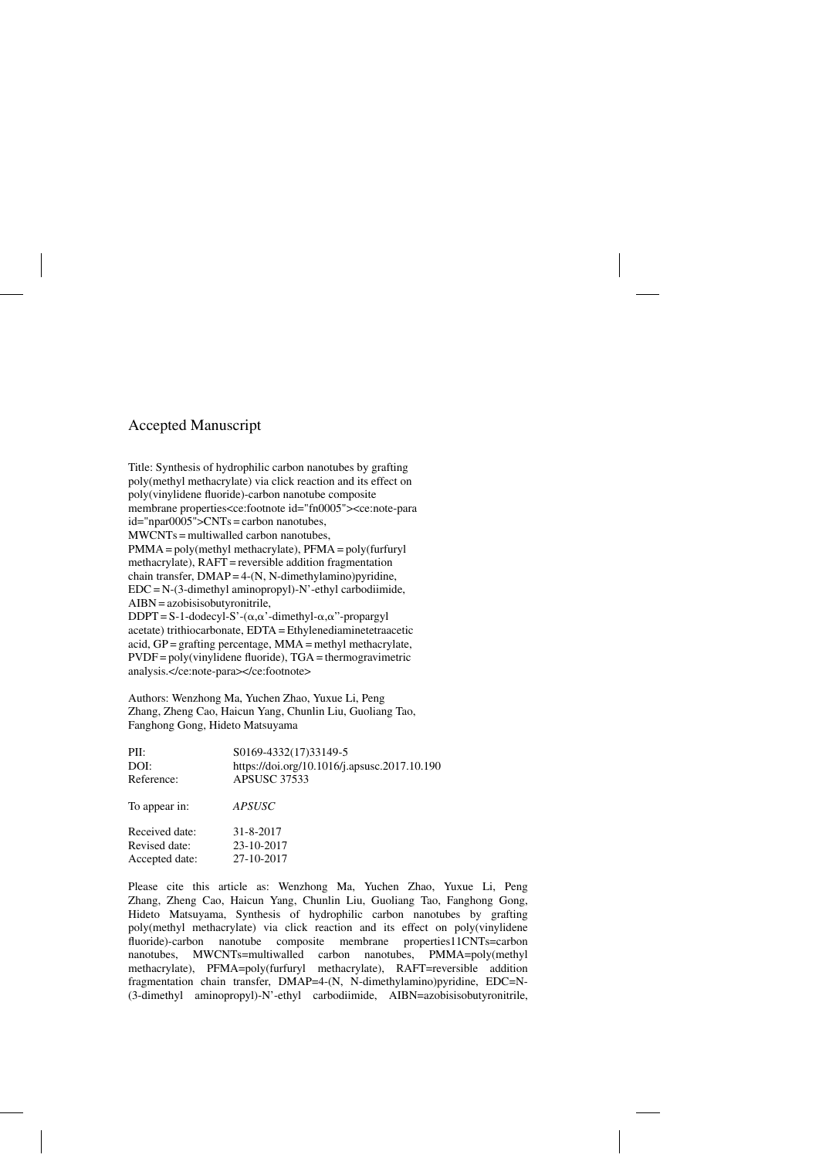## Accepted Manuscript

Title: Synthesis of hydrophilic carbon nanotubes by grafting poly(methyl methacrylate) via click reaction and its effect on poly(vinylidene fluoride)-carbon nanotube composite membrane properties<ce:footnote id="fn0005"><ce:note-para id="npar0005">CNTs = carbon nanotubes, MWCNTs = multiwalled carbon nanotubes, PMMA = poly(methyl methacrylate), PFMA = poly(furfuryl methacrylate), RAFT = reversible addition fragmentation chain transfer,  $DMAP = 4-(N, N-dimensional)$  $EDC = N-(3$ -dimethyl aminopropyl)-N'-ethyl carbodiimide, AIBN = azobisisobutyronitrile,  $DDPT = S-1$ -dodecyl-S'-( $\alpha, \alpha$ '-dimethyl- $\alpha, \alpha$ ''-propargyl acetate) trithiocarbonate, EDTA = Ethylenediaminetetraacetic acid, GP = grafting percentage, MMA = methyl methacrylate,  $PVDF = poly(viny$  dene fluoride),  $TGA =$  thermogravimetric analysis.</ce:note-para></ce:footnote>

Authors: Wenzhong Ma, Yuchen Zhao, Yuxue Li, Peng Zhang, Zheng Cao, Haicun Yang, Chunlin Liu, Guoliang Tao, Fanghong Gong, Hideto Matsuyama

PII: S0169-4332(17)33149-5 DOI:<https://doi.org/10.1016/j.apsusc.2017.10.190> Reference: APSUSC 37533 To appear in: *APSUSC* Received date: 31-8-2017 Revised date: 23-10-2017 Accepted date: 27-10-2017

Please cite this article as: Wenzhong Ma, Yuchen Zhao, Yuxue Li, Peng Zhang, Zheng Cao, Haicun Yang, Chunlin Liu, Guoliang Tao, Fanghong Gong, Hideto Matsuyama, Synthesis of hydrophilic carbon nanotubes by grafting poly(methyl methacrylate) via click reaction and its effect on poly(vinylidene fluoride)-carbon nanotube composite membrane properties11CNTs=carbon nanotubes, MWCNTs=multiwalled carbon nanotubes, PMMA=poly(methyl methacrylate), PFMA=poly(furfuryl methacrylate), RAFT=reversible addition fragmentation chain transfer, DMAP=4-(N, N-dimethylamino)pyridine, EDC=N- (3-dimethyl aminopropyl)-N'-ethyl carbodiimide, AIBN=azobisisobutyronitrile,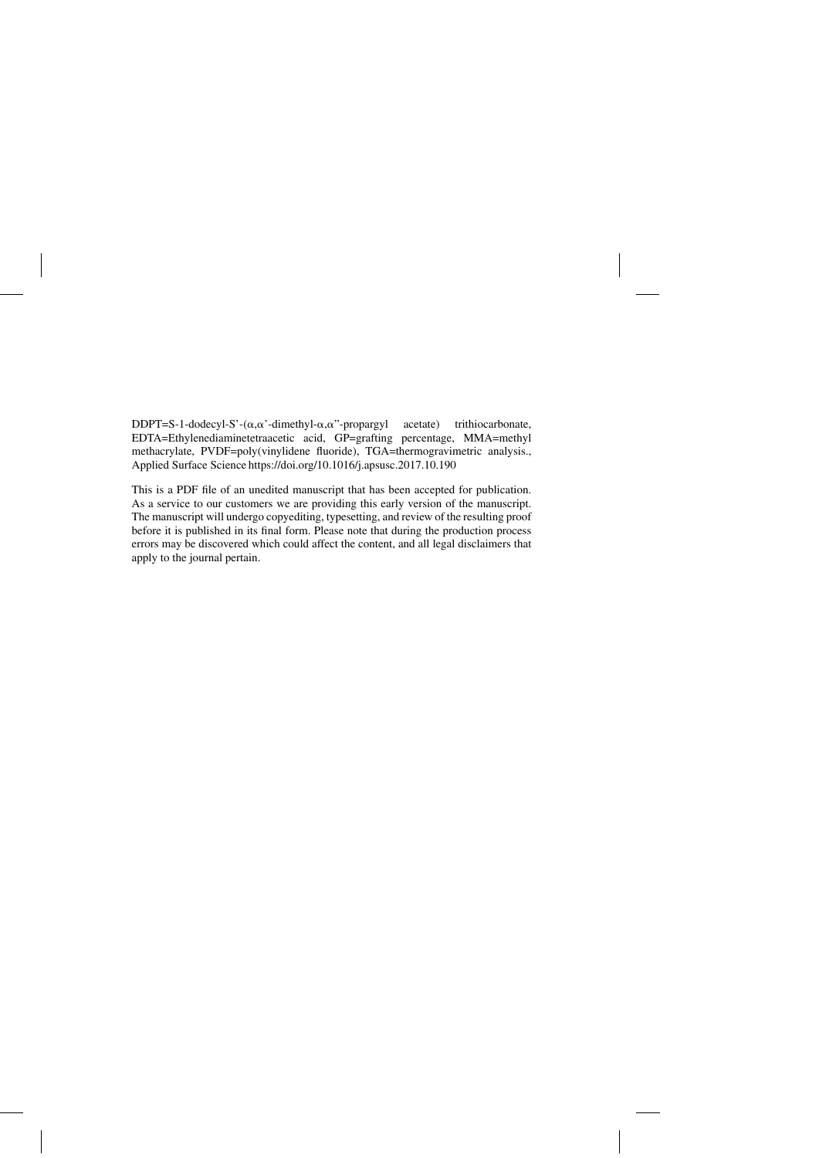DDPT=S-1-dodecyl-S'- $(\alpha, \alpha)$ -dimethyl- $\alpha, \alpha$ acetate) trithiocarbonate, EDTA=Ethylenediaminetetraacetic acid, GP=grafting percentage, MMA=methyl methacrylate, PVDF=poly(vinylidene fluoride), TGA=thermogravimetric analysis., Applied Surface Science<https://doi.org/10.1016/j.apsusc.2017.10.190>

This is a PDF file of an unedited manuscript that has been accepted for publication. As a service to our customers we are providing this early version of the manuscript. The manuscript will undergo copyediting, typesetting, and review of the resulting proof before it is published in its final form. Please note that during the production process errors may be discovered which could affect the content, and all legal disclaimers that apply to the journal pertain.